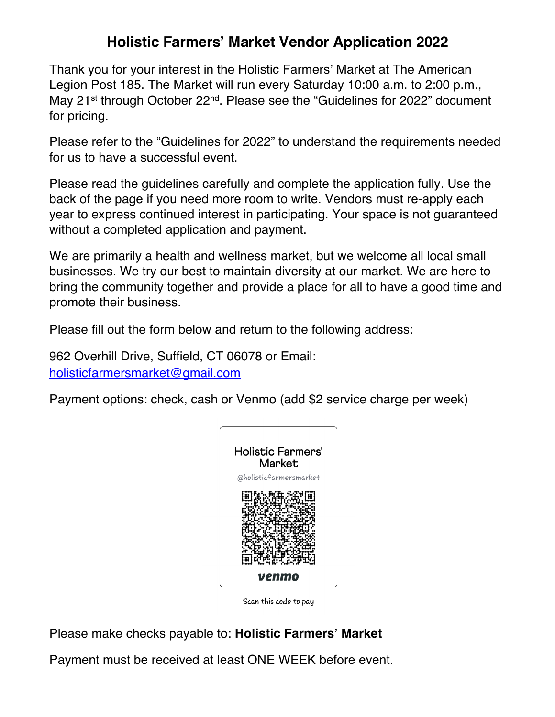## **Holistic Farmers' Market Vendor Application 2022**

Thank you for your interest in the Holistic Farmers' Market at The American Legion Post 185. The Market will run every Saturday 10:00 a.m. to 2:00 p.m., May 21st through October 22nd. Please see the "Guidelines for 2022" document for pricing.

Please refer to the "Guidelines for 2022" to understand the requirements needed for us to have a successful event.

Please read the guidelines carefully and complete the application fully. Use the back of the page if you need more room to write. Vendors must re-apply each year to express continued interest in participating. Your space is not guaranteed without a completed application and payment.

We are primarily a health and wellness market, but we welcome all local small businesses. We try our best to maintain diversity at our market. We are here to bring the community together and provide a place for all to have a good time and promote their business.

Please fill out the form below and return to the following address:

962 Overhill Drive, Suffield, CT 06078 or Email: holisticfarmersmarket@gmail.com

Payment options: check, cash or Venmo (add \$2 service charge per week)



Scan this code to pay

Please make checks payable to: **Holistic Farmers' Market**

Payment must be received at least ONE WEEK before event.